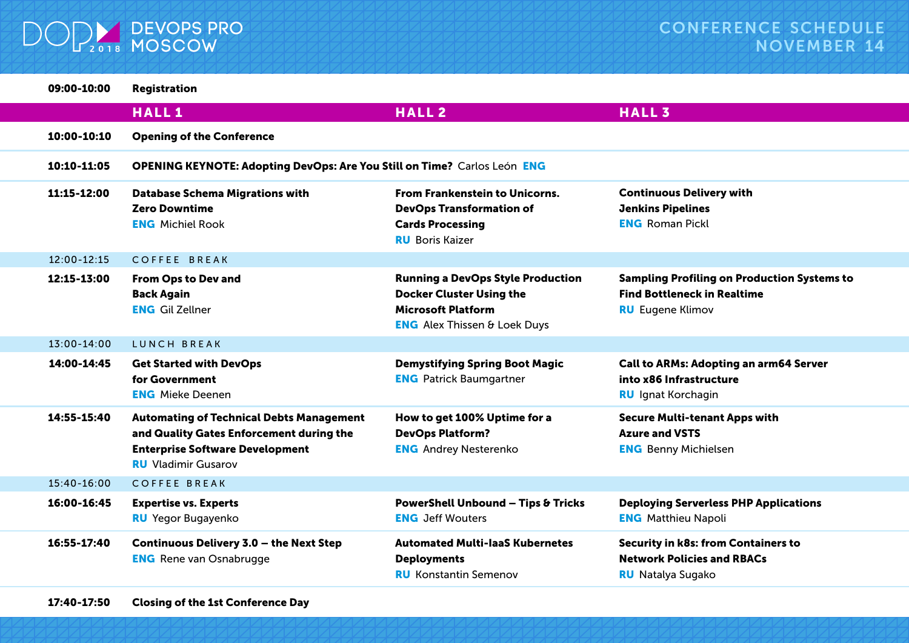

| 09:00-10:00     | <b>Registration</b>                                                                                                                                                 |                                                                                                                                                 |                                                                                                                     |  |  |
|-----------------|---------------------------------------------------------------------------------------------------------------------------------------------------------------------|-------------------------------------------------------------------------------------------------------------------------------------------------|---------------------------------------------------------------------------------------------------------------------|--|--|
|                 | <b>HALL1</b>                                                                                                                                                        | <b>HALL2</b>                                                                                                                                    | <b>HALL3</b>                                                                                                        |  |  |
| 10:00-10:10     | <b>Opening of the Conference</b>                                                                                                                                    |                                                                                                                                                 |                                                                                                                     |  |  |
| 10:10-11:05     | OPENING KEYNOTE: Adopting DevOps: Are You Still on Time? Carlos León ENG                                                                                            |                                                                                                                                                 |                                                                                                                     |  |  |
| 11:15-12:00     | <b>Database Schema Migrations with</b><br><b>Zero Downtime</b><br><b>ENG</b> Michiel Rook                                                                           | <b>From Frankenstein to Unicorns.</b><br><b>DevOps Transformation of</b><br><b>Cards Processing</b><br><b>RU</b> Boris Kaizer                   | <b>Continuous Delivery with</b><br><b>Jenkins Pipelines</b><br><b>ENG</b> Roman Pickl                               |  |  |
| $12:00 - 12:15$ | <b>COFFEE BREAK</b>                                                                                                                                                 |                                                                                                                                                 |                                                                                                                     |  |  |
| 12:15-13:00     | From Ops to Dev and<br><b>Back Again</b><br><b>ENG</b> Gil Zellner                                                                                                  | <b>Running a DevOps Style Production</b><br><b>Docker Cluster Using the</b><br><b>Microsoft Platform</b><br><b>ENG</b> Alex Thissen & Loek Duys | <b>Sampling Profiling on Production Systems to</b><br><b>Find Bottleneck in Realtime</b><br><b>RU</b> Eugene Klimov |  |  |
| $13:00 - 14:00$ | LUNCH BREAK                                                                                                                                                         |                                                                                                                                                 |                                                                                                                     |  |  |
| 14:00-14:45     | <b>Get Started with DevOps</b><br>for Government<br><b>ENG</b> Mieke Deenen                                                                                         | <b>Demystifying Spring Boot Magic</b><br><b>ENG</b> Patrick Baumgartner                                                                         | Call to ARMs: Adopting an arm64 Server<br>into x86 Infrastructure<br><b>RU</b> Ignat Korchagin                      |  |  |
| 14:55-15:40     | <b>Automating of Technical Debts Management</b><br>and Quality Gates Enforcement during the<br><b>Enterprise Software Development</b><br><b>RU</b> Vladimir Gusarov | How to get 100% Uptime for a<br><b>DevOps Platform?</b><br><b>ENG</b> Andrey Nesterenko                                                         | <b>Secure Multi-tenant Apps with</b><br><b>Azure and VSTS</b><br><b>ENG</b> Benny Michielsen                        |  |  |
| $15:40 - 16:00$ | <b>COFFEE BREAK</b>                                                                                                                                                 |                                                                                                                                                 |                                                                                                                     |  |  |
| 16:00-16:45     | <b>Expertise vs. Experts</b><br><b>RU</b> Yegor Bugayenko                                                                                                           | <b>PowerShell Unbound - Tips &amp; Tricks</b><br><b>ENG</b> Jeff Wouters                                                                        | <b>Deploying Serverless PHP Applications</b><br><b>ENG</b> Matthieu Napoli                                          |  |  |
| 16:55-17:40     | Continuous Delivery 3.0 - the Next Step<br><b>ENG</b> Rene van Osnabrugge                                                                                           | <b>Automated Multi-laaS Kubernetes</b><br><b>Deployments</b><br><b>RU</b> Konstantin Semenov                                                    | <b>Security in k8s: from Containers to</b><br><b>Network Policies and RBACs</b><br><b>RU</b> Natalya Sugako         |  |  |
|                 |                                                                                                                                                                     |                                                                                                                                                 |                                                                                                                     |  |  |